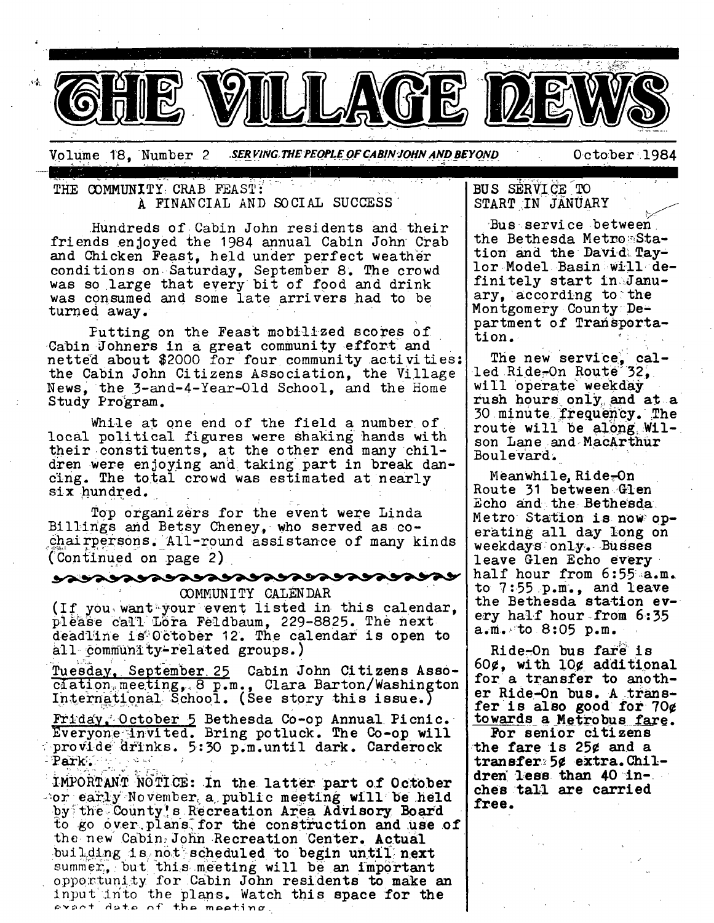

Volume 18. Number 2 *.\$ER PING.. 7"HE PEOPLE OF CABIN'JOHN AND BEYOND* October '1984

THE COMMUNITY CRAB FEAST: A FINANCIAL AND SOCIAL SUCCESS"

Hundreds of Cabin John residents and their friends enjoyed the 1984 annual Cabin John Crab and Chicken Feast, held under perfect weather conditions on. Saturday, September 8. The crowd was so large that every bit of food and drink was consumed and some late arrivers had to be turned away.

Putting on the Feast mobilized scores o£ Cabin Johners in a great community effort and netted about \$2000 for four community activities: the Cabin John Citizens Association, the Village News, the 3-and-4-Year-Old School, and the Home Study Program.

While at one end of the field a number of local political figures were shaking hands with their constituents, at the other end many children were enjoying and taking part in break dancing. The total crowd was estimated at nearly six hundred.

Top organizers for the event were Linda Billings and Betsy Cheney, who served as cochairpersons. All-round assistance of many kinds (Continued on page 2)

<u>yavavavavavavavavavavavavav</u>a

COMMUNITY CALENDAR (If you want your event listed in this calendar, please call Löra Feldbaum, 229-8825. The next deadline is October 12. The calendar is open to all-community-related groups.)

Tuesday, September 25 Cabin John Citizens Asso $c$ iation<sub>:</sub> meeting,  $8$  p.m., Clara Barton/Washington International School. (See story this issue.)

 $\mathtt{Friday}$ , October 5 Bethesda Co-op Annual Picnic. Everyone $<$ invited. Bring potluck. The Co-op will provide drinks. 5:30 p.m.until dark. Carderock Park ..

IMPORTANT NOTICE: In the latter part of October  $-$ or early November, a public meeting will be held by the County's Recreation Area Advisory Board to go over plans for the construction and use of the new Cabin, John Recreation Center. Actual building is not scheduled to begin until next summer, but this meeting will be an important opportunity for Cabin John residents to make an Input into the plans. Watch this space for the<br>exect date of the meeting

# ${\tt BUS}$   ${\tt SERNICE}$   ${\tt TO}$ START IN JANUARY

"Bus service between the Bethesda Metro::Station and the Davidi Taylor Model Basin will definitely start in:January, according to the Montgomery County~ Department of Transportation.

The new service,  $cal$  $led$  Ride-On Route 32, will operate weekday rush hours only and at a 30 minute frequency. The route will be along  $W1$ son Lane and, MacArthur Boulevard.

Meanwhile, Ride<del>.</del>On Route 31 between Gien Echo and the Bethesda~ Metro Station is now operating all day long on weekdays only. Busses leave Glen Echo every half hour from 6:55 a.m. to 7:55 p.m., and leave the Bethesda station **every half hour from 6:35**  $a.m.$  to 8:05  $p.m.$ 

Ride-On bus fare is 60¢, with 10¢ additional for a transfer to another Ride-On bus. A transfer is also good for **70¢**  towards a Metrobus fare.

For senior citizens the fare is 25¢ and a transfer~ 5¢ extra. Children less than  $40$  inches tall are carried **free.**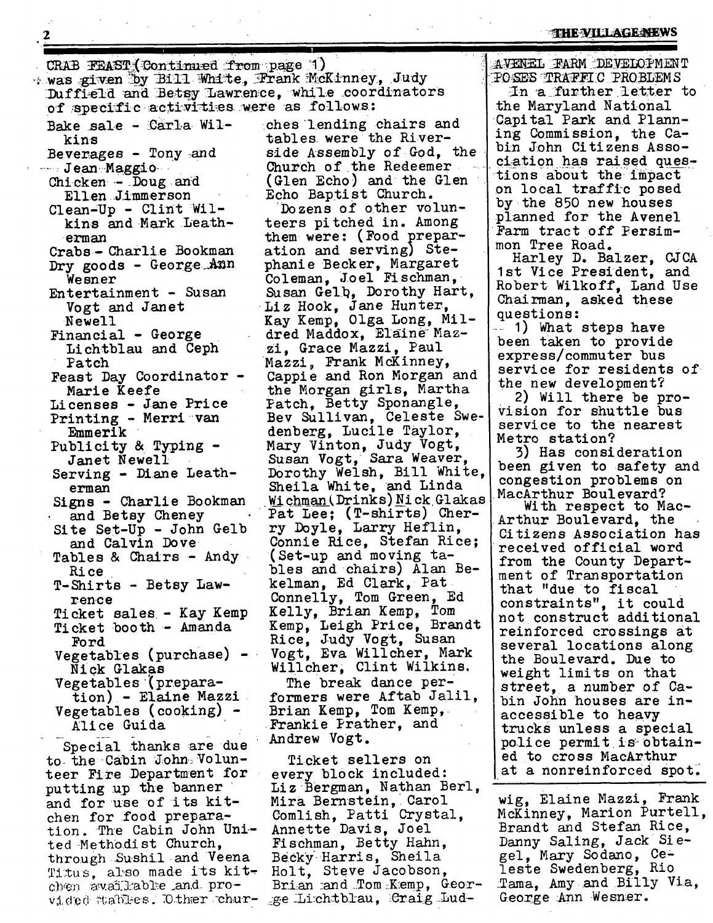### **THE VILLAGE NEWS**

CRAB FEAST (Continued from page 1) + was given by Bill White, Frank McKinney, Judy Duffield and Betsy Lawrence, while coordinators of specific activities were as follows: Bake sale -  $Carla$  Wil-  $che$  ches lending chairs and kins tables, were the River-Beverages - Tony :and Church of the Redeemer  $\cdots$  Jean Maggio -Chicken - Doug and (Glen Echo) and the Glen Ellen Jimmerson<br>ean-Up - Clint Wil-<br>Dozens of other volun-Clean-Up - Clint Wil-<br>kins and Mark Leathteers pitched in. Among erman them were: (Food prepar-Crabs - Charlie Bookman ation and serving) Ste-Dry goods - George Ann phanie Becker, Margaret Wesner Coleman, Joel Fischman, Entertainment - Susan Susan Gelb, Dorothy Hart, Vogt and Janet  $\qquad \qquad$  Liz Hook, Jane Hunter, Newell Financial - George Lichtblau and Ceph zi, Grace Mazzi, Paul Mazzi, Frank McKinney, Patch Feast Day Coordinator **- Marie** Keefe Licenses - Jane Price Patch, Betty Sponangle, Printing - Merri-van denberg, Lucile Taylor, Emmerik Mary Vinton, Judy Vogt, Publi city & Typing **- Janet** Newell Serving - Diane Leatherman Signs - Charlie Bookman and Betsy Cheney ry Doyle, Larry Heflin, Site Set-Up - John Gelb and Calvin Dove (Set-up and moving ta-Tables & Chairs - Andy • Rice kelman, Ed Clark, Pat T-Shirts - Betsy Lawfence Ticket sales.- Kay Kemp Kelly, Brian Kemp, Tom Ticket booth - Amanda Rice, Judy Vogt, Susan Ford Vegetables (purchase) - Willcher, Clint Wilkins. Nick Glakas Vegetables (prepara-The break dance pertion) - Elaine Mazzi Brian Kemp, Tom Kemp,. Vegetables (cooking) - .Frankie Prather, and All ce Guida Andrew Vogt. Special thanks are due

to the Cabin John. Volunteer Fire Department for putting up the banner and for use of its kitchen for food preparation. The Cabin John United Methodist Church, through Sushil and Veena Titus, also made its kitchen av.ailable .and provided stables. O.ther chur- \_ge Li.ch.tblau, Craig Lud-

**2** 

side Assembly of God, the

Kay Kemp, Olga Long, Mildred Maddox, Elaine Maz-Capple and Ron Morgan and the Morgan girls, Martha Bey Sullivan, Celeste Swe-Susan Vogt, Sara Weaver, Dorothy Welsh, Bill White, Sheila White, and Linda Wichman (Drinks) Nick Glakas Pat Lee; (T-shirts) Cher-Connie Rice, Stefan Rice; bles and chairs) Alan Be-Connelly, Tom Green, Ed Kemp, Leigh Price, Brandt Vogt, Eva Willcher, Mark

formers were Aftab Jalil,

Ticket sellers on every block included: Liz Bergman, Nathan Berl, Mira Bernstein, Carol Comlish, Patti Crystal, Annette Davis, Joel Fischman, Betty Hahn, Be cky. Harri s, Sheila Holt, Steve Jacobson, Brian and Tom Kemp, GeorAVENEL FARM DEVELOPMENT "PO:SES "TRAFFIC PROBLEMS  $In$   $a$  further letter to the Maryland National Capital Park and Planning Commission, the Cabin John Citizens Association has raised questions about the impact on local traffic posed by the 850 new houses planned for the Avenel Farm tract off Persimmon Tree Road.

Harley D. Balzer, CJCA 1st Vice President, and Robert Wilkoff, Land Use Chairman, asked these questions :

.... I) What steps have been taken to provide express/commuter bus service for residents of the new development?

2) Will there be provision for shuttle bus service to the nearest Metro station?

5) Has consideration been given to safety and congestion problems on MacArthur Boulevard?

With respect to Mac-Arthur Boulevard, the Citizens Association has received official word from the County Department of Transportation that "due to fiscal constraints", it could not construct additional reinforced crossings at several locations along the Boulevard. Due to weight limits on that street, a number of Cabin John houses are inaccessible to heavy trucks unless a special police permit is obtained to cross MacArthur at a nonreinforced spot.

wig, Elaine Mazzi, Frank McKinney, Marion Purtell, Brandt and Stefan Rice, Danny Saling, Jack Siegel, Mary Sodano, Celeste Swedenberg, Rio Tama, Amy and Billy Via, George Ann Wesner.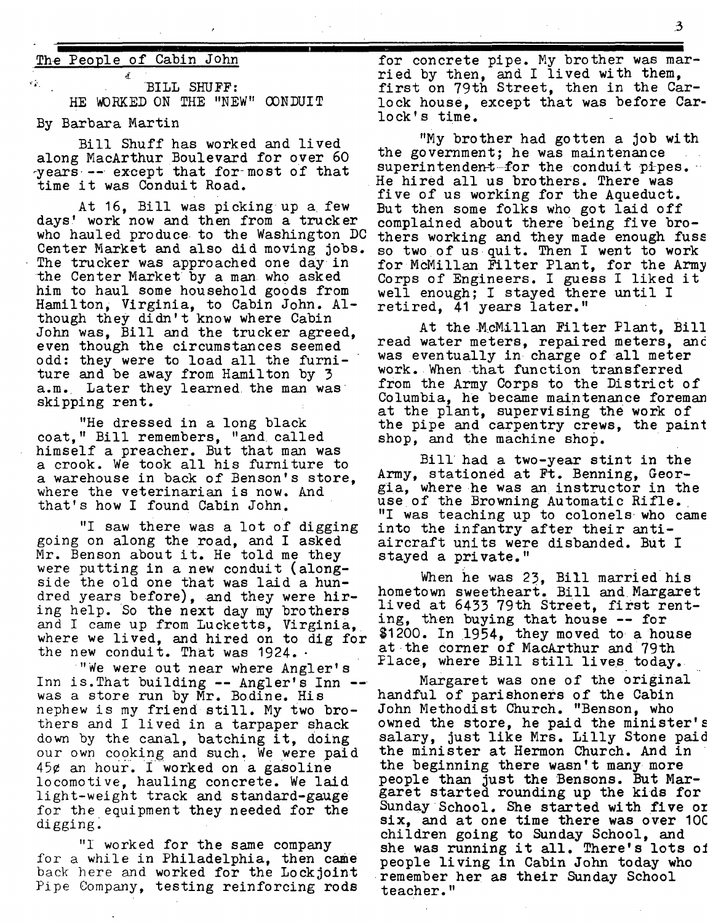## The People of Cabin John

 $^{\circ}$  BILL SHUFF: HE WORKED ON THE "NEW" CONDUIT **I** 

#### By Barbara Martin

Bill Shuff has worked and lived along MacArthur Boulevard for over 60 years -- except that for most of that time it was Conduit Road.

At 16, Bill was picking up a few<br>days' work now and then from a trucker days' work now and then from a trucker complained about there being five bro-<br>who hauled produce to the Washington DC thers working and they made enough fus Center Market and also did moving jobs. so two of us quit. Then I went to work<br>The trucker was approached one day in the McMillan Filter Plant, for the Army the Center Market by a man who asked him to haul some household goods from Hamilton, Virginia, to Cabin John. Although they didn't know where Cabin John was, Bill and the trucker agreed, even though the circumstances seemed odd: they were to load all the furniture and be away from Hamilton by 3 a.m. Later they learned the man was skipping rent.

"He dressed in a long black coat," Bill remembers, "and called himself a preacher. But that man was a crook. We took all his furniture to a warehouse in back of Benson's store, where the veterinarian is now. And that's how I found Cabin John.

"I saw there was a lot of digging going on along the road, and I asked Mr. Benson about it. He told me they were putting in a new conduit (alongside the old one that was laid a hundred years before), and they were hiring help. So the next day my brothers and I came up from Lucketts, Virginia, ing, then buying that house -- for where we lived, and hired on to dig for  $*1200.$  In 1954, they moved to a house the new conduit. That was  $1924.$ 

"We were out near where Angler's Inn is. That building -- Angler's Inn - was a store run by Mr. Bodine. His nephew is my friend still. My two brothers and I lived in a tarpaper shack down by the canal, batching it, doing our own cooking and such. We were paid 45¢ an hour. I worked on a gasoline locomotive, hauling concrete. We laid light-welght track and standard-gauge for the equipment they needed for the digging.

"I worked for the same company for a while in Philadelphia, then came back here and worked for the Lockjoint Pipe Company, testing reinforcing rods

for concrete pipe. My brother was married by then, and I lived with them. first on 79th Street, then in the Carlock house, except that was before Carlock's time.

"My brother had gotten a job with the government; he was maintenance superintendent-for the conduit pipes. He hired all us brothers. There was five of us working for the Aqueduct. But then some folks who got laid off who hauled produce to the Washington DC thers working and they made enough fuss<br>Center Market and also did moving jobs. so two of us quit. Then I went to work for McMillan Filter Plant, for the Army Corps of Engineers. I guess I liked it well enough; I stayed there until I retired, 41 years later."

> At the McMillan Filter Plant. Bill read water meters, repaired meters, anc was eventually in charge of all meter work. When that function transferred from the Army Corps to the District of Columbia, he became maintenance foreman at the plant, supervising the work of the pipe and carpentry crews, the paint shop, and the machine shop.

> Bill had a two-year stint in the Army, stationed at Ft. Benning, Georgia, where he was an instructor in the use of the Browning Automatic Rifle. "I was teaching up to colonels who came into the infantry after their antiaircraft units were disbanded. But I stayed a private."

When he was 23, Bill married his hometown sweetheart. Bill and Margaret lived at 6433 79th street, first rent-Place, where Bill still lives today.

Margaret was one of the original handful of parishoners of the Cabin John Methodist Church. "Benson, who owned the store, he paid the minister's salary, just like Mrs. Lilly Stone paid the minister at Hermon Church. And in the beginning there wasn!t many more people than just the Bensons. But Margaret started rounding up the kids for Sunday School. She started with five oz six, and at one time there was over I0C children going to Sunday School, and she was running it all. There's lots oI people living in Cabin John today who remember her as their Sunday School teacher."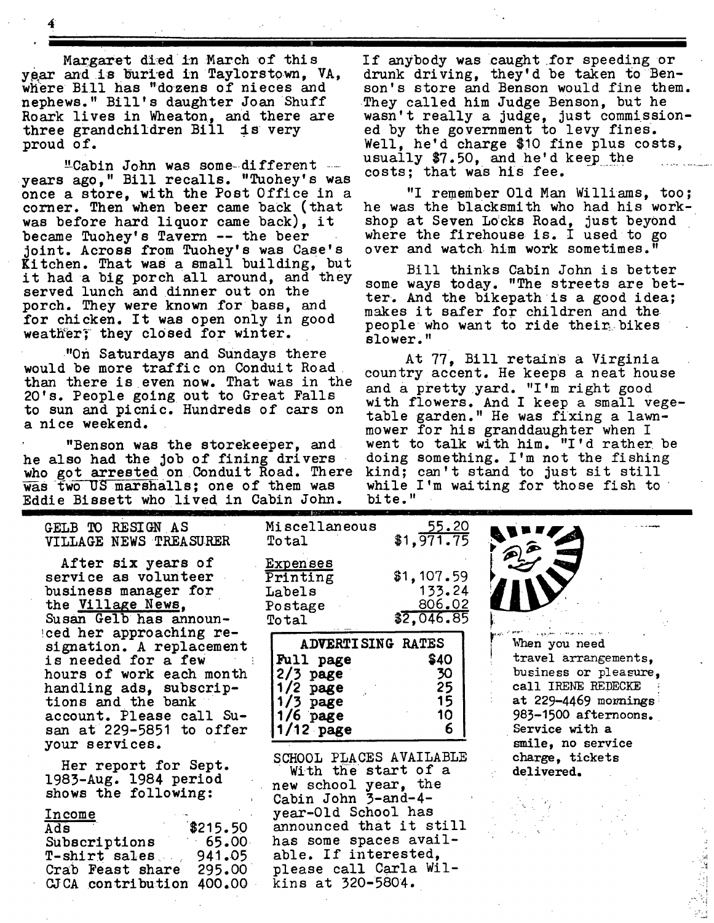Margaret died in March of this year and is buried in Taylorstown, VA, where Bill has "dozens of nieces and nephews." Bill's daughter Joan Shuff Roark lives in Wheaton, and there are three grandchildren Bill is very proud of.

"Cabin John was some-different .... years ago," Bill recalls. "Tuohey's was once a store, with the Post Office in a corner. Then when beer came back (that was before hard liquor came back), it became Tuohey's Tavern -- the beer joint. Across from Tuohey's was Case's Kitchen. That was a small building, but it had a big porch all around, and they served lunch and dinner out on the porch. They were known for bass, and for chicken. It was open only in good weather; they closed for winter.

"on Saturdays and Sundays there would be more traffic on Conduit Road than there is even now. That was in the 20's. People going out to Great Falls to sun and picnic. Hundreds of cars on a nice weekend.

"Benson was the storekeeper, and he also had the Job of fining drivers who got arrested on Conduit Road. There  $\overline{was}$  two US marshalls; one of them was Eddie Bissett who lived in Cabin John.

If anybody was caught for speeding or drunk driving, they'd be taken to Benson's store and Benson would fine them. They called him Judge Benson, but he wasn't really a judge, just commissioned by the government to levy fines. Well, he'd charge \$10 fine plus costs, usually \$7.50, and he'd keep the costs; that was his fee.

"I remember Old Man Williams, too; he was the blacksmith who had his workshop at Seven Locks Road, just beyond where the firehouse is. I used to go over and watch him work sometimes."

Bill thinks Cabin John is better some ways today. "The streets are better. And the blkepath is a good idea; makes it safer for children and the people who want to ride their bikes slower."

At 77, Bill retains a Virginia country accent. He keeps a neat house and a pretty yard. "I'm right good with flowers. And I keep a small vegetable garden." He was fixing a lawnmower for his granddaughter when I went to talk with him. "I'd rather be doing something. I'm not the fishing kind; can't stand to just sit still while I'm waiting for those fish to bite."

 $\mathbb{R}_+$ 

o

| GELB TO RESIGN AS<br>VILLAGE NEWS TREASURER                                                                                                                                                                     | Miscellaneous<br>$\mathtt{Total}$                                                                                                                                                                                                                                                                           | 55.20<br>\$1, 971.75                         |                                                                                                                                                                                                              |
|-----------------------------------------------------------------------------------------------------------------------------------------------------------------------------------------------------------------|-------------------------------------------------------------------------------------------------------------------------------------------------------------------------------------------------------------------------------------------------------------------------------------------------------------|----------------------------------------------|--------------------------------------------------------------------------------------------------------------------------------------------------------------------------------------------------------------|
| After six years of<br>service as volunteer<br>business manager for<br>the Village News.<br>Susan Gelb has announ-                                                                                               | Expenses<br>Printing<br>Labels<br>Postage<br>Total                                                                                                                                                                                                                                                          | \$1,107.59<br>133.24<br>806.02<br>\$2,046.85 | <b>D)</b>                                                                                                                                                                                                    |
| ced her approaching re-<br>signation. A replacement<br>is needed for a few<br>hours of work each month<br>handling ads, subscrip-<br>tions and the bank<br>account. Please call Su-<br>san at 229-5851 to offer | <b>ADVERTISING RATES</b><br><b>\$40</b><br>Full page<br>30<br>$2/3$ page<br>25<br>$1/2$ page<br>15<br>$1/3$ page<br>10<br>$1/6$ page<br>6<br>$1/12$ page<br>SCHOOL PLACES AVAILABLE<br>With the start of a<br>new school year, the<br>Cabin John 3-and-4-<br>year-Old School has<br>announced that it still |                                              | When you need<br>travel arrangements,<br>business or pleasure.<br>call IRENE REDECKE<br>at 229-4469 mornings<br>983-1500 afternoons.<br>Service with a<br>smile, no service<br>charge, tickets<br>delivered. |
| your services.<br>Her report for Sept.<br>1983-Aug. 1984 period<br>shows the following:<br>Income<br>\$215.50<br>Ads                                                                                            |                                                                                                                                                                                                                                                                                                             |                                              |                                                                                                                                                                                                              |

Ads " 8215.50 Subscriptions 65.00 T-shirt sales..., 941.05 Crab Feast share 295.00 CJCA contribution 400.00

please call Carla Wil $kins$  at  $320 - 5804$ .

has some spaces available. If interested,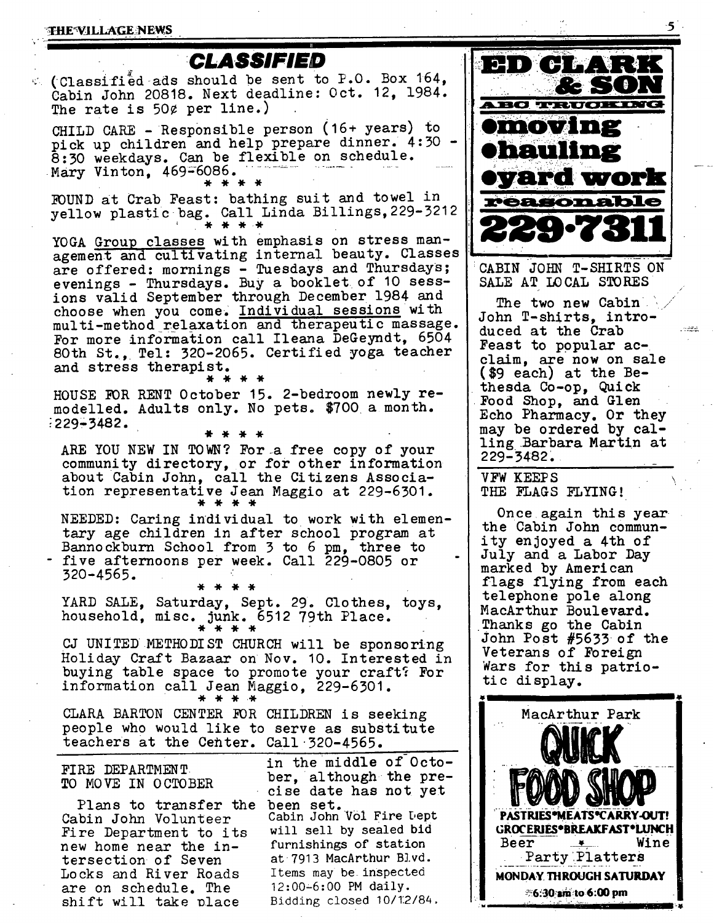#### THE VILLAGE NEWS

are on schedule. The shift will take place



Bidding closed I0/1:2/84.



CABIN JOHN T-SHIRTS ON SALE AT LOCAL STORES

The two new Cabin John T-shirts, introduced at the Crab Feast to popular  $ac$ claim, are now on sale (\$9 each) at the Bethesda Co-op, Quick Food Shop, and Glen Echo Pharmacy. Or they may be ordered by calling Barbara Martin at 229-3482.

يهجون

VFW KEEPS THE FLAGS FLYING!

Once again this year the Cabin John community enjoyed a 4th of July and a Labor Day marked by American flags flying from each telephone pole along MacArthur Boulevard. Thanks go the Cabin John Post #5633 of the Veterans of Foreign Wars for this patrlotic display.

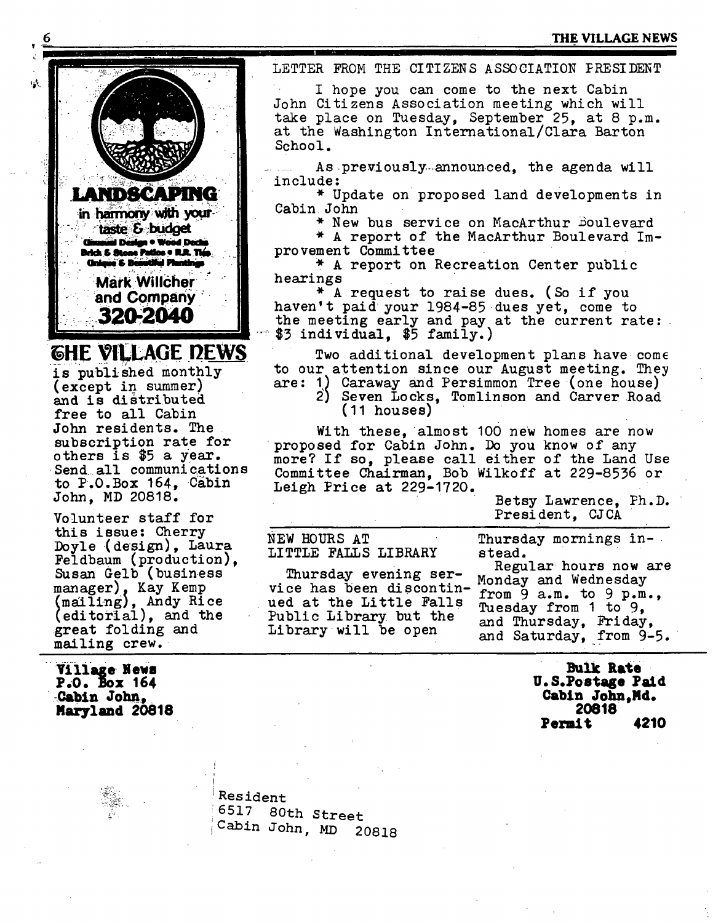## **6 ,: THE VILLAGE NEWS**



 $\mathcal{A}_i$  :

and is distributed free to all Cabin John residents. The subscription rate for others is \$5 a year. Send all communications to P.O.Box 164, Cabin John, MD 20818.

Volunteer staff for this issue: Cherry Doyle (design), Laura Feldbaum (production), Susan Gelb (business<br>manager), Kay Kemp manager), Kay Kemp<br>(mailing), Andy Ric<br>(editorial), and th mailing), Andy Rice editorlal), and the great folding and mailing crew.

Village News **P.0. Box 164**  ' Cabin John,. **Maryland 20818**  LETTER FROM THE CITIZENS ASSOCIATION PRESIDENT

I hope you can come to the next Cabin John Citizens Association meeting which will take place on Tuesday, September 25, at 8 p.m. at the Washington International/Clara Barton School.

As previously-announced, the agenda will in clu de:

\* Update on proposed land developments in Cabin John

\* New bus service on MacArthur Boulevard

\* A report of the MacArthur Boulevard Improvement Committee

\* A report on Recreation Center public hearings

\* A request to raise dues. (So if you haven't paid your 1984-85 dues yet, come to the meeting early and pay at the current rate:  $$3$  individual,  $$5$  family.)

Two additional development plans have come to our attention since our August meeting. They are: I) Caraway and Persimmon Tree (one house)

2) Seven Locks, Tomlinson and Carver Road (11 houses)

With these, almost 100 new homes are now proposed for Cabin John. Do you know of any more? If so, please call either of the Land Use Committee Chairman, Bob Wilkoff at 229-8536 or Leigh Price at  $229-1720$ .

> Betsy Lawrence, Ph.D. President, CJCA

NEW HOURS AT Thursday mornings in-

Thursday evening ser- Regular hours now vice has been discontin- $\frac{1}{1}$  from 9 a.m. to 9 p.m., ued at the Little Falls Public Library but the and Thursday, Friday,  $\frac{1}{2}$ , Extending Library will be open and Sotunday,  $\frac{1}{2}$ 

LITTLE FALLS LIBRARY stead.<br>Frame of the stead stead are the stead stead in the stead stead in the stead in the stead in the stead in the s

Tuesday from 1 to 9. and Saturday, from 9-5.

> **Bulk Rate**  U.S.Postage Paid Cabin John, Md. **20818 Permit 42.10**

Resident 6517 80th Street Cabin John, MD 20818